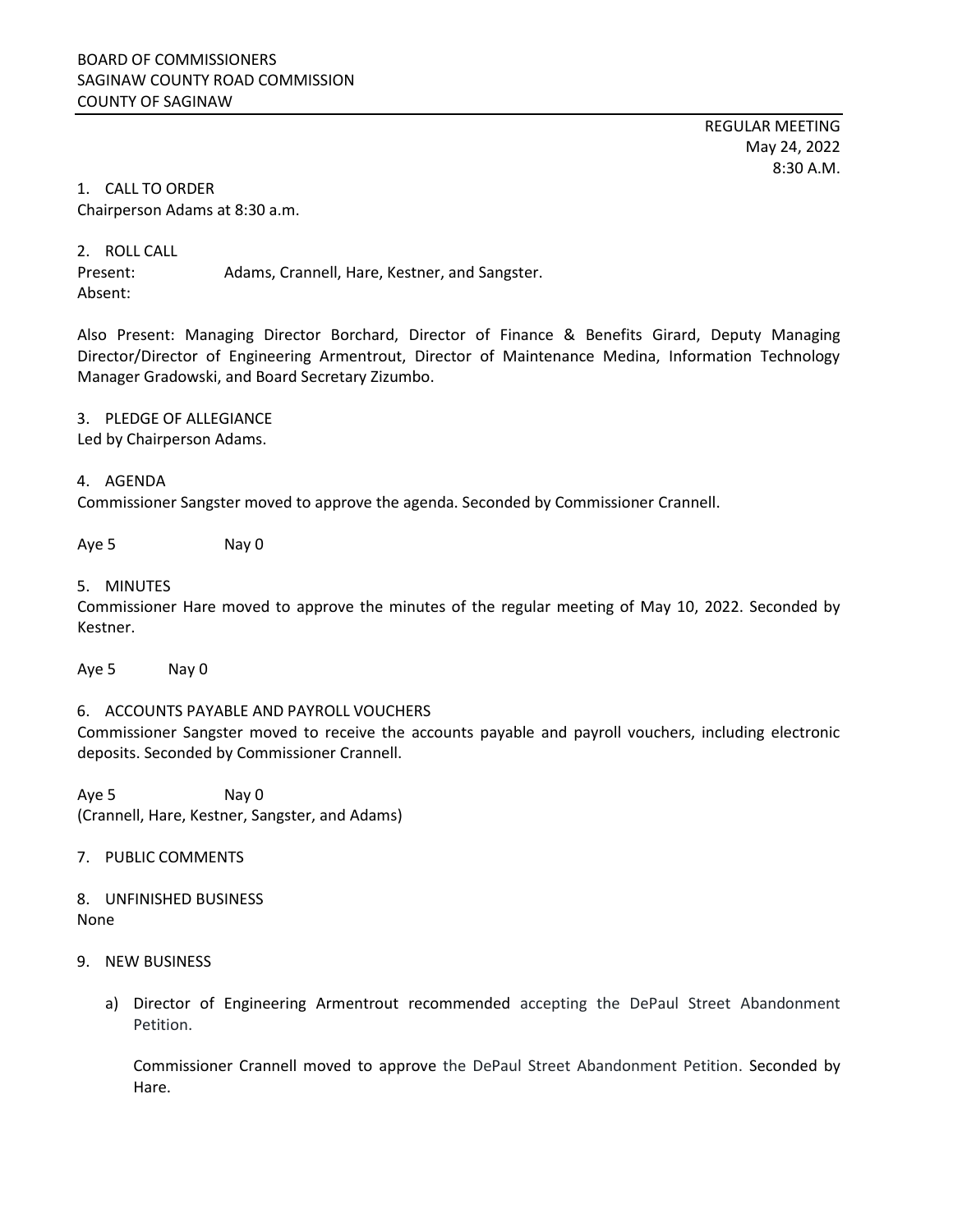REGULAR MEETING May 24, 2022 8:30 A.M.

## 1. CALL TO ORDER Chairperson Adams at 8:30 a.m.

2. ROLL CALL

Present: Adams, Crannell, Hare, Kestner, and Sangster.

Absent:

Also Present: Managing Director Borchard, Director of Finance & Benefits Girard, Deputy Managing Director/Director of Engineering Armentrout, Director of Maintenance Medina, Information Technology Manager Gradowski, and Board Secretary Zizumbo.

# 3. PLEDGE OF ALLEGIANCE

Led by Chairperson Adams.

### 4. AGENDA

Commissioner Sangster moved to approve the agenda. Seconded by Commissioner Crannell.

Aye 5 Nay 0

## 5. MINUTES

Commissioner Hare moved to approve the minutes of the regular meeting of May 10, 2022. Seconded by Kestner.

Aye 5 Nay 0

## 6. ACCOUNTS PAYABLE AND PAYROLL VOUCHERS

Commissioner Sangster moved to receive the accounts payable and payroll vouchers, including electronic deposits. Seconded by Commissioner Crannell.

Aye 5 Nay 0 (Crannell, Hare, Kestner, Sangster, and Adams)

## 7. PUBLIC COMMENTS

8. UNFINISHED BUSINESS None

## 9. NEW BUSINESS

a) Director of Engineering Armentrout recommended accepting the DePaul Street Abandonment Petition.

Commissioner Crannell moved to approve the DePaul Street Abandonment Petition. Seconded by Hare.